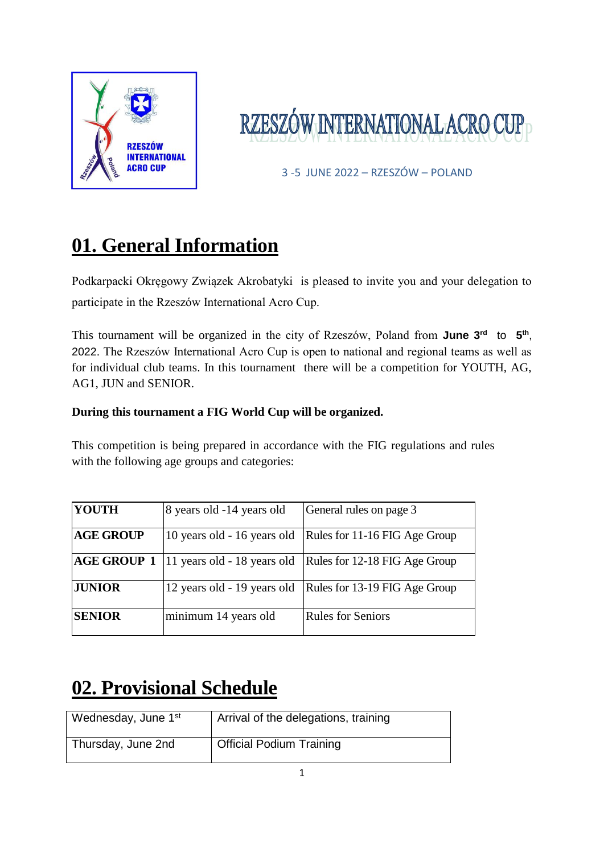

# RZESZÓW INTERNATIONAL ACRO

3 -5 JUNE 2022 – RZESZÓW – POLAND

# **01. General Information**

Podkarpacki Okręgowy Związek Akrobatyki is pleased to invite you and your delegation to participate in the Rzeszów International Acro Cup.

This tournament will be organized in the city of Rzeszów, Poland from **June 3<sup>rd</sup>** to 5<sup>th</sup>, 2022. The Rzeszów International Acro Cup is open to national and regional teams as well as for individual club teams. In this tournament there will be a competition for YOUTH, AG, AG1, JUN and SENIOR.

#### **During this tournament a FIG World Cup will be organized.**

This competition is being prepared in accordance with the FIG regulations and rules with the following age groups and categories:

| <b>YOUTH</b>       | 8 years old -14 years old   | General rules on page 3       |
|--------------------|-----------------------------|-------------------------------|
| <b>AGE GROUP</b>   | 10 years old - 16 years old | Rules for 11-16 FIG Age Group |
| <b>AGE GROUP 1</b> | 11 years old - 18 years old | Rules for 12-18 FIG Age Group |
| <b>JUNIOR</b>      | 12 years old - 19 years old | Rules for 13-19 FIG Age Group |
| <b>SENIOR</b>      | minimum 14 years old        | <b>Rules for Seniors</b>      |

# **02. Provisional Schedule**

| Wednesday, June 1 <sup>st</sup> | Arrival of the delegations, training |
|---------------------------------|--------------------------------------|
| Thursday, June 2nd              | <b>Official Podium Training</b>      |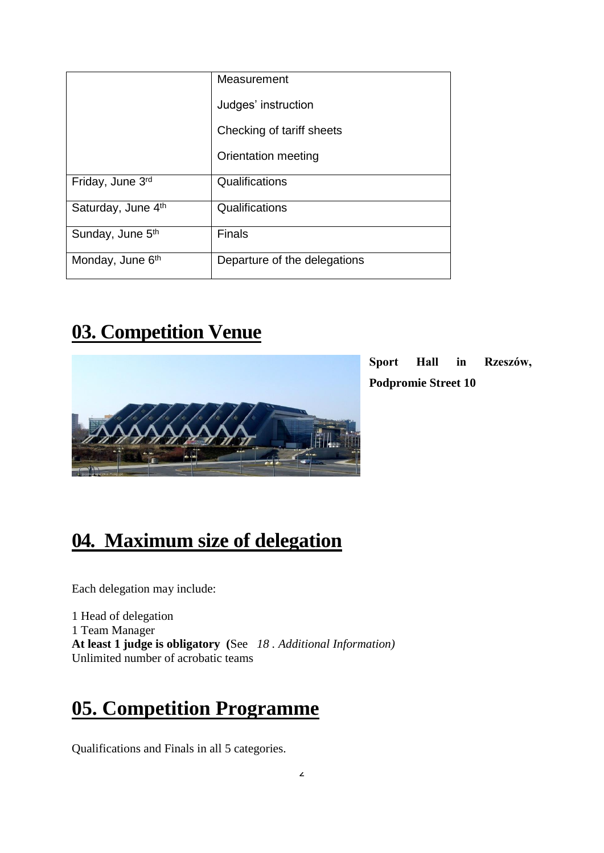|                              | Measurement                  |
|------------------------------|------------------------------|
|                              | Judges' instruction          |
|                              | Checking of tariff sheets    |
|                              | Orientation meeting          |
| Friday, June 3rd             | Qualifications               |
| Saturday, June 4th           | Qualifications               |
| Sunday, June 5 <sup>th</sup> | <b>Finals</b>                |
| Monday, June 6th             | Departure of the delegations |

# **03. Competition Venue**



**Sport Hall in Rzeszów, Podpromie Street 10**

## **04. Maximum size of delegation**

Each delegation may include:

1 Head of delegation 1 Team Manager **At least 1 judge is obligatory (**See *18 . Additional Information)* Unlimited number of acrobatic teams

# **05. Competition Programme**

Qualifications and Finals in all 5 categories.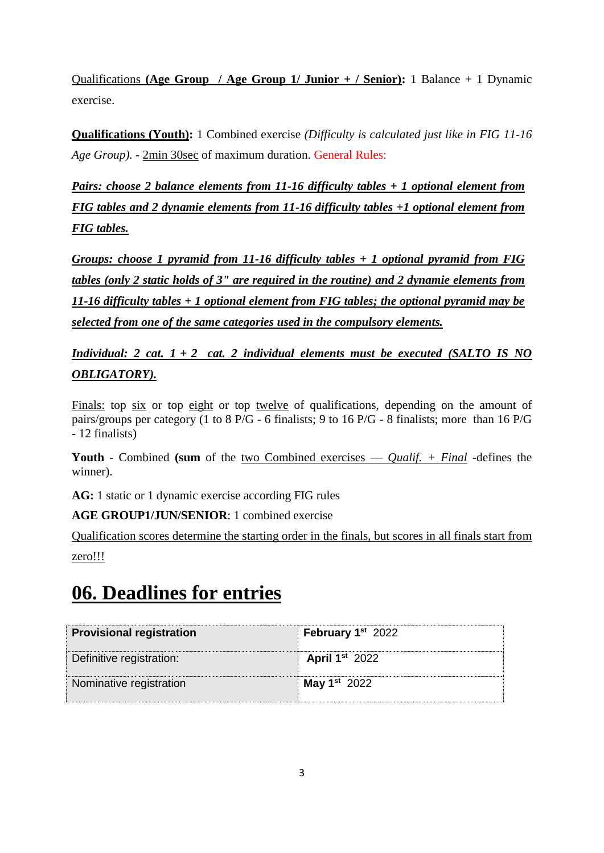Qualifications **(Age Group / Age Group 1/ Junior + / Senior):** 1 Balance + 1 Dynamic exercise.

**Qualifications (Youth):** 1 Combined exercise *(Difficulty is calculated just like in FIG 11-16 Age Group).* - 2min 30sec of maximum duration. General Rules:

*Pairs: choose 2 balance elements from 11-16 difficulty tables + 1 optional element from FIG tables and 2 dynamie elements from 11-16 difficulty tables +1 optional element from FIG tables.*

*Groups: choose 1 pyramid from 11-16 difficulty tables + 1 optional pyramid from FIG tables (only 2 static holds of 3" are reguired in the routine) and 2 dynamie elements from 11-16 difficulty tables + 1 optional element from FIG tables; the optional pyramid may be selected from one of the same categories used in the compulsory elements.*

*Individual: 2 cat. 1 + 2 cat. 2 individual elements must be executed (SALTO IS NO OBLIGATORY).*

Finals: top six or top eight or top twelve of qualifications, depending on the amount of pairs/groups per category (1 to 8 P/G - 6 finalists; 9 to 16 P/G - 8 finalists; more than 16 P/G - 12 finalists)

**Youth** - Combined **(sum** of the two Combined exercises — *Qualif. + Final -*defines the winner).

**AG:** 1 static or 1 dynamic exercise according FIG rules

**AGE GROUP1/JUN/SENIOR**: 1 combined exercise

Qualification scores determine the starting order in the finals, but scores in all finals start from zero!!!

## **06. Deadlines for entries**

| <b>Provisional registration</b> | February 1 <sup>st</sup> 2022 |
|---------------------------------|-------------------------------|
| Definitive registration:        | <b>April 1st 2022</b>         |
| Nominative registration         | <b>May 1st</b> 2022           |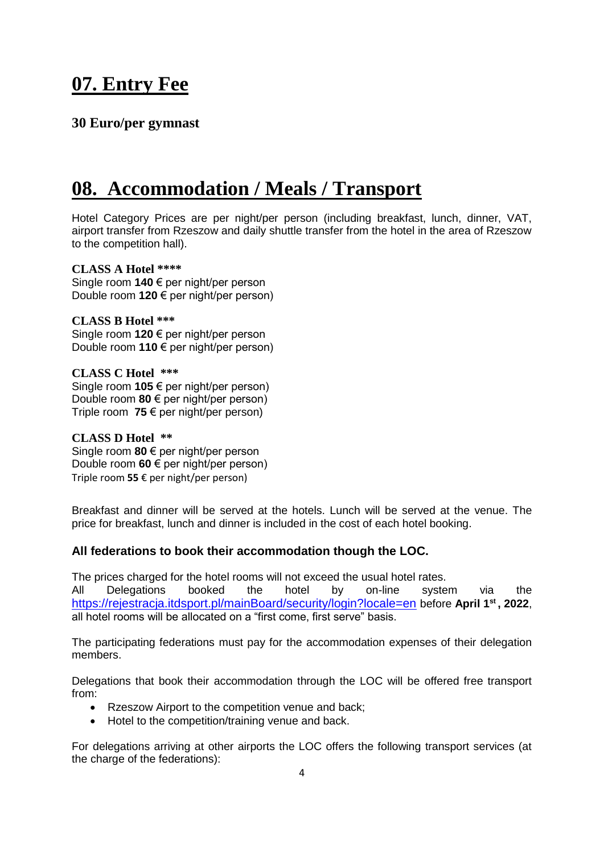### **07. Entry Fee**

#### **30 Euro/per gymnast**

### **08. Accommodation / Meals / Transport**

Hotel Category Prices are per night/per person (including breakfast, lunch, dinner, VAT, airport transfer from Rzeszow and daily shuttle transfer from the hotel in the area of Rzeszow to the competition hall).

#### **CLASS A Hotel \*\*\*\***

Single room **140** € per night/per person Double room **120** € per night/per person)

**CLASS B Hotel \*\*\*** Single room **120** € per night/per person Double room **110** € per night/per person)

**CLASS C Hotel \*\*\*** Single room **105** € per night/per person) Double room **80** € per night/per person) Triple room **75** € per night/per person)

**CLASS D Hotel \*\*** Single room **80** € per night/per person Double room **60** € per night/per person) Triple room **55** € per night/per person)

Breakfast and dinner will be served at the hotels. Lunch will be served at the venue. The price for breakfast, lunch and dinner is included in the cost of each hotel booking.

#### **All federations to book their accommodation though the LOC.**

The prices charged for the hotel rooms will not exceed the usual hotel rates. All Delegations booked the hotel by on-line system via the <https://rejestracja.itdsport.pl/mainBoard/security/login?locale=en> before **April 1st , 2022**, all hotel rooms will be allocated on a "first come, first serve" basis.

The participating federations must pay for the accommodation expenses of their delegation members.

Delegations that book their accommodation through the LOC will be offered free transport from:

- Rzeszow Airport to the competition venue and back;
- Hotel to the competition/training venue and back.

For delegations arriving at other airports the LOC offers the following transport services (at the charge of the federations):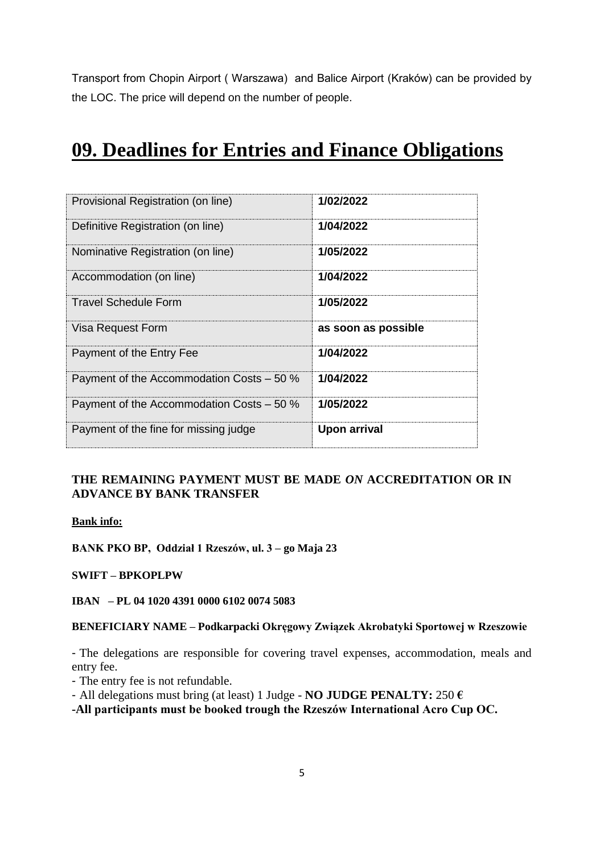Transport from Chopin Airport ( Warszawa) and Balice Airport (Kraków) can be provided by the LOC. The price will depend on the number of people.

#### **09. Deadlines for Entries and Finance Obligations**

| Provisional Registration (on line)        | 1/02/2022           |
|-------------------------------------------|---------------------|
| Definitive Registration (on line)         | 1/04/2022           |
| Nominative Registration (on line)         | 1/05/2022           |
| Accommodation (on line)                   | 1/04/2022           |
| <b>Travel Schedule Form</b>               | 1/05/2022           |
| Visa Request Form                         | as soon as possible |
| Payment of the Entry Fee                  | 1/04/2022           |
| Payment of the Accommodation Costs - 50 % | 1/04/2022           |
| Payment of the Accommodation Costs - 50 % | 1/05/2022           |
| Payment of the fine for missing judge     | Upon arrival        |

#### **THE REMAINING PAYMENT MUST BE MADE** *ON* **ACCREDITATION OR IN ADVANCE BY BANK TRANSFER**

**Bank info:**

**BANK PKO BP, Oddział 1 Rzeszów, ul. 3 – go Maja 23**

**SWIFT – BPKOPLPW**

**IBAN – PL 04 1020 4391 0000 6102 0074 5083**

#### **BENEFICIARY NAME – Podkarpacki Okręgowy Związek Akrobatyki Sportowej w Rzeszowie**

- The delegations are responsible for covering travel expenses, accommodation, meals and entry fee.

- The entry fee is not refundable.
- All delegations must bring (at least) 1 Judge **NO JUDGE PENALTY:** 250 **€**

**-All participants must be booked trough the Rzeszów International Acro Cup OC.**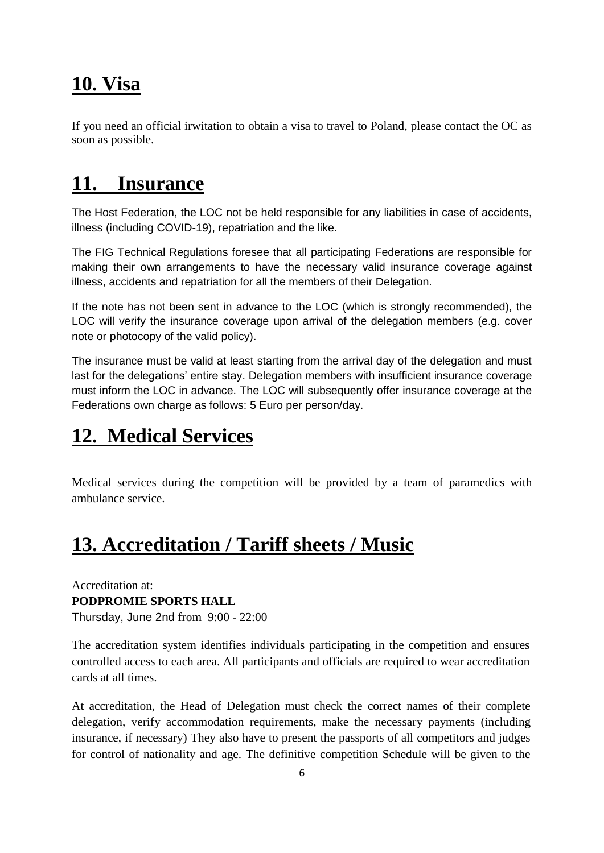### **10. Visa**

If you need an official irwitation to obtain a visa to travel to Poland, please contact the OC as soon as possible.

## **11. Insurance**

The Host Federation, the LOC not be held responsible for any liabilities in case of accidents, illness (including COVID-19), repatriation and the like.

The FIG Technical Regulations foresee that all participating Federations are responsible for making their own arrangements to have the necessary valid insurance coverage against illness, accidents and repatriation for all the members of their Delegation.

If the note has not been sent in advance to the LOC (which is strongly recommended), the LOC will verify the insurance coverage upon arrival of the delegation members (e.g. cover note or photocopy of the valid policy).

The insurance must be valid at least starting from the arrival day of the delegation and must last for the delegations' entire stay. Delegation members with insufficient insurance coverage must inform the LOC in advance. The LOC will subsequently offer insurance coverage at the Federations own charge as follows: 5 Euro per person/day.

## **12. Medical Services**

Medical services during the competition will be provided by a team of paramedics with ambulance service.

# **13. Accreditation / Tariff sheets / Music**

Accreditation at: **PODPROMIE SPORTS HALL**  Thursday, June 2nd from 9:00 - 22:00

The accreditation system identifies individuals participating in the competition and ensures controlled access to each area. All participants and officials are required to wear accreditation cards at all times.

At accreditation, the Head of Delegation must check the correct names of their complete delegation, verify accommodation requirements, make the necessary payments (including insurance, if necessary) They also have to present the passports of all competitors and judges for control of nationality and age. The definitive competition Schedule will be given to the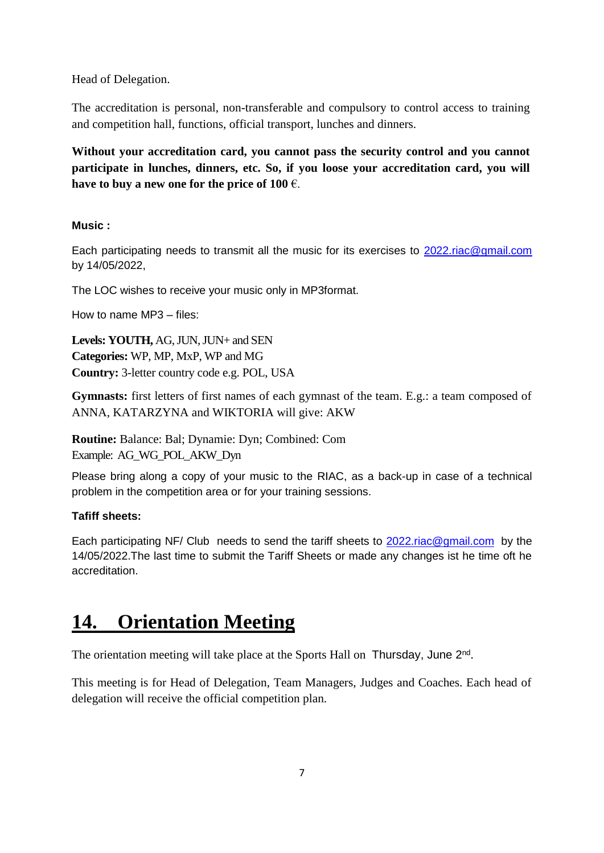Head of Delegation.

The accreditation is personal, non-transferable and compulsory to control access to training and competition hall, functions, official transport, lunches and dinners.

**Without your accreditation card, you cannot pass the security control and you cannot participate in lunches, dinners, etc. So, if you loose your accreditation card, you will have to buy a new one for the price of 100** €.

#### **Music :**

Each participating needs to transmit all the music for its exercises to [2022.riac@gmail.com](mailto:2022.riac@gmail.com) by 14/05/2022,

The LOC wishes to receive your music only in MP3format.

How to name MP3 – files:

**Levels: YOUTH,** AG, JUN, JUN+ and SEN **Categories:** WP, MP, MxP, WP and MG **Country:** 3-letter country code e.g. POL, USA

**Gymnasts:** first letters of first names of each gymnast of the team. E.g.: a team composed of ANNA, KATARZYNA and WIKTORIA will give: AKW

**Routine:** Balance: Bal; Dynamie: Dyn; Combined: Com Example: AG\_WG\_POL\_AKW\_Dyn

Please bring along a copy of your music to the RIAC, as a back-up in case of a technical problem in the competition area or for your training sessions.

#### **Tafiff sheets:**

Each participating NF/ Club needs to send the tariff sheets to 2022 riac@gmail.com by the 14/05/2022.The last time to submit the Tariff Sheets or made any changes ist he time oft he accreditation.

### **14. Orientation Meeting**

The orientation meeting will take place at the Sports Hall on Thursday, June 2<sup>nd</sup>.

This meeting is for Head of Delegation, Team Managers, Judges and Coaches. Each head of delegation will receive the official competition plan.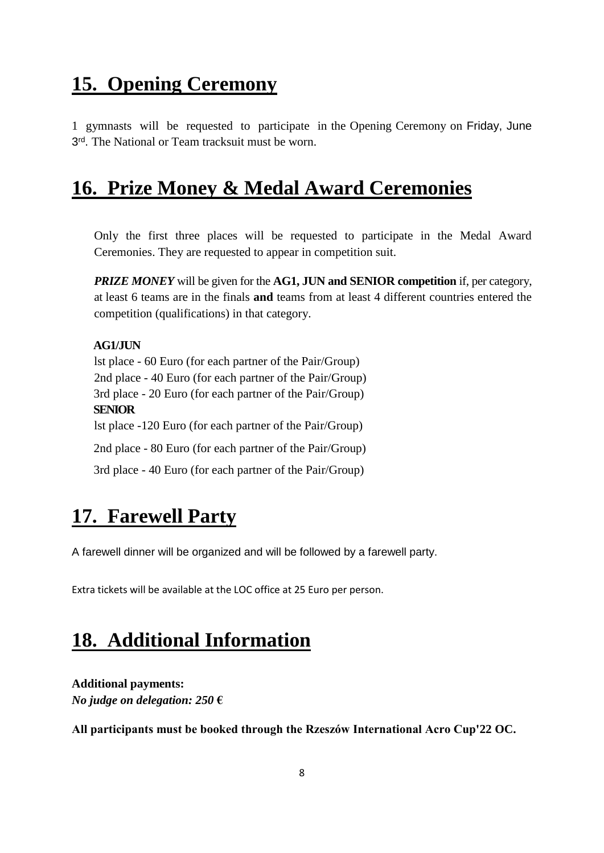### **15. Opening Ceremony**

1 gymnasts will be requested to participate in the Opening Ceremony on Friday, June 3<sup>rd</sup>. The National or Team tracksuit must be worn.

### **16. Prize Money & Medal Award Ceremonies**

Only the first three places will be requested to participate in the Medal Award Ceremonies. They are requested to appear in competition suit.

*PRIZE MONEY* will be given for the **AG1, JUN and SENIOR competition** if, per category, at least 6 teams are in the finals **and** teams from at least 4 different countries entered the competition (qualifications) in that category.

#### **AG1/JUN**

lst place - 60 Euro (for each partner of the Pair/Group) 2nd place - 40 Euro (for each partner of the Pair/Group) 3rd place - 20 Euro (for each partner of the Pair/Group) **SENIOR** lst place -120 Euro (for each partner of the Pair/Group) 2nd place - 80 Euro (for each partner of the Pair/Group) 3rd place - 40 Euro (for each partner of the Pair/Group)

#### **17. Farewell Party**

A farewell dinner will be organized and will be followed by a farewell party.

Extra tickets will be available at the LOC office at 25 Euro per person.

### **18. Additional Information**

**Additional payments:** *No judge on delegation: 250* **€**

**All participants must be booked through the Rzeszów International Acro Cup'22 OC.**